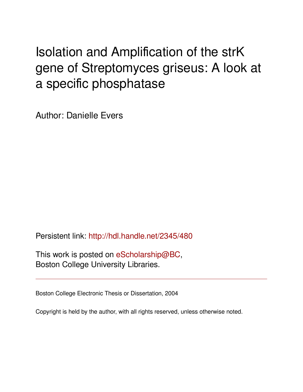# Isolation and Amplification of the strK gene of Streptomyces griseus: A look at a specific phosphatase

Author: Danielle Evers

Persistent link: <http://hdl.handle.net/2345/480>

This work is posted on [eScholarship@BC](http://escholarship.bc.edu), Boston College University Libraries.

Boston College Electronic Thesis or Dissertation, 2004

Copyright is held by the author, with all rights reserved, unless otherwise noted.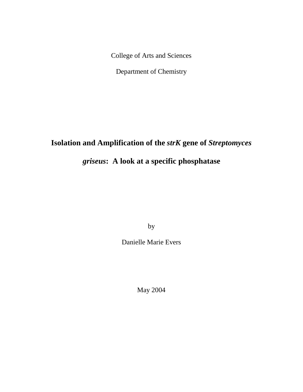College of Arts and Sciences

Department of Chemistry

## **Isolation and Amplification of the** *strK* **gene of** *Streptomyces*

## *griseus***: A look at a specific phosphatase**

by

Danielle Marie Evers

May 2004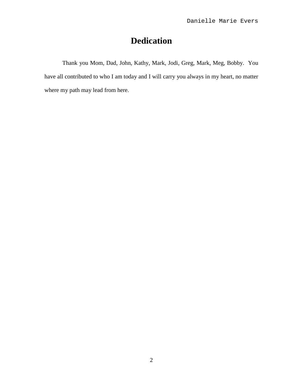## **Dedication**

Thank you Mom, Dad, John, Kathy, Mark, Jodi, Greg, Mark, Meg, Bobby. You have all contributed to who I am today and I will carry you always in my heart, no matter where my path may lead from here.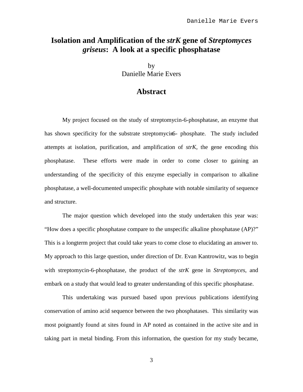## **Isolation and Amplification of the** *strK* **gene of** *Streptomyces griseus***: A look at a specific phosphatase**

by Danielle Marie Evers

#### **Abstract**

My project focused on the study of streptomycin-6-phosphatase, an enzyme that has shown specificity for the substrate streptomycin-6- phosphate. The study included attempts at isolation, purification, and amplification of *strK*, the gene encoding this phosphatase. These efforts were made in order to come closer to gaining an understanding of the specificity of this enzyme especially in comparison to alkaline phosphatase, a well-documented unspecific phosphate with notable similarity of sequence and structure.

The major question which developed into the study undertaken this year was: "How does a specific phosphatase compare to the unspecific alkaline phosphatase (AP)?" This is a longterm project that could take years to come close to elucidating an answer to. My approach to this large question, under direction of Dr. Evan Kantrowitz, was to begin with streptomycin-6-phosphatase, the product of the *strK* gene in *Streptomyces*, and embark on a study that would lead to greater understanding of this specific phosphatase.

This undertaking was pursued based upon previous publications identifying conservation of amino acid sequence between the two phosphatases. This similarity was most poignantly found at sites found in AP noted as contained in the active site and in taking part in metal binding. From this information, the question for my study became,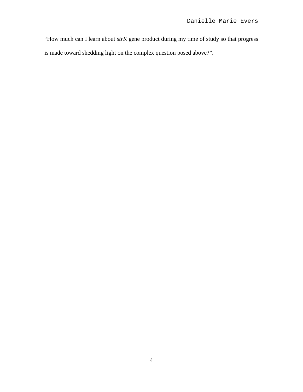"How much can I learn about *strK* gene product during my time of study so that progress is made toward shedding light on the complex question posed above?".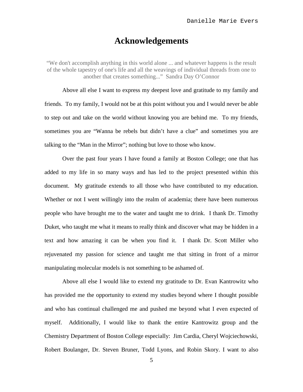### **Acknowledgements**

"We don't accomplish anything in this world alone ... and whatever happens is the result of the whole tapestry of one's life and all the weavings of individual threads from one to another that creates something..." Sandra Day O'Connor

Above all else I want to express my deepest love and gratitude to my family and friends. To my family, I would not be at this point without you and I would never be able to step out and take on the world without knowing you are behind me. To my friends, sometimes you are "Wanna be rebels but didn't have a clue" and sometimes you are talking to the "Man in the Mirror"; nothing but love to those who know.

Over the past four years I have found a family at Boston College; one that has added to my life in so many ways and has led to the project presented within this document. My gratitude extends to all those who have contributed to my education. Whether or not I went willingly into the realm of academia; there have been numerous people who have brought me to the water and taught me to drink. I thank Dr. Timothy Duket, who taught me what it means to really think and discover what may be hidden in a text and how amazing it can be when you find it. I thank Dr. Scott Miller who rejuvenated my passion for science and taught me that sitting in front of a mirror manipulating molecular models is not something to be ashamed of.

Above all else I would like to extend my gratitude to Dr. Evan Kantrowitz who has provided me the opportunity to extend my studies beyond where I thought possible and who has continual challenged me and pushed me beyond what I even expected of myself. Additionally, I would like to thank the entire Kantrowitz group and the Chemistry Department of Boston College especially: Jim Cardia, Cheryl Wojciechowski, Robert Boulanger, Dr. Steven Bruner, Todd Lyons, and Robin Skory. I want to also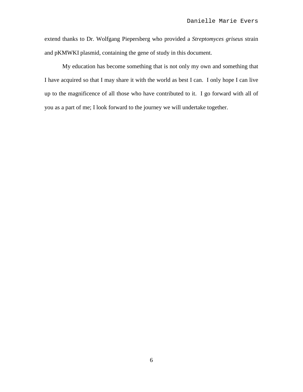extend thanks to Dr. Wolfgang Piepersberg who provided a *Streptomyces griseus* strain and pKMWKI plasmid, containing the gene of study in this document.

My education has become something that is not only my own and something that I have acquired so that I may share it with the world as best I can. I only hope I can live up to the magnificence of all those who have contributed to it. I go forward with all of you as a part of me; I look forward to the journey we will undertake together.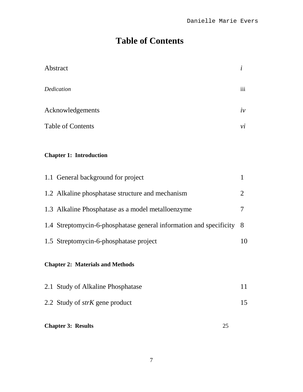## **Table of Contents**

| Abstract                                                           | $\dot{i}$    |  |  |
|--------------------------------------------------------------------|--------------|--|--|
| Dedication                                                         | iii          |  |  |
| Acknowledgements                                                   |              |  |  |
| <b>Table of Contents</b>                                           |              |  |  |
| <b>Chapter 1: Introduction</b>                                     |              |  |  |
| 1.1 General background for project                                 | $\mathbf{1}$ |  |  |
| 1.2 Alkaline phosphatase structure and mechanism                   | 2            |  |  |
| 1.3 Alkaline Phosphatase as a model metalloenzyme                  | 7            |  |  |
| 1.4 Streptomycin-6-phosphatase general information and specificity | 8            |  |  |
| 1.5 Streptomycin-6-phosphatase project                             | 10           |  |  |
| <b>Chapter 2: Materials and Methods</b>                            |              |  |  |
| 2.1 Study of Alkaline Phosphatase                                  | 11           |  |  |
| 2.2 Study of <i>strK</i> gene product                              | 15           |  |  |
| <b>Chapter 3: Results</b><br>25                                    |              |  |  |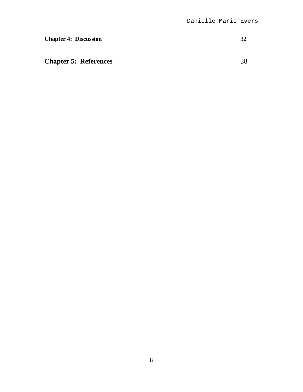### **Chapter 4: Discussion** 32

**Chapter 5: References** 38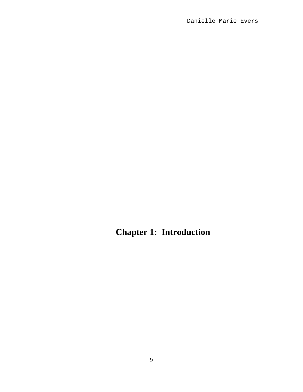**Chapter 1: Introduction**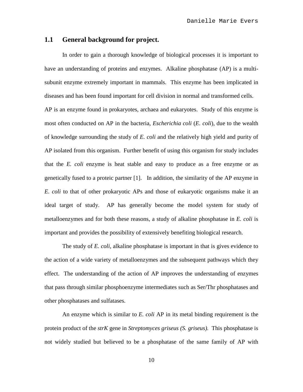#### **1.1 General background for project.**

In order to gain a thorough knowledge of biological processes it is important to have an understanding of proteins and enzymes. Alkaline phosphatase (AP) is a multisubunit enzyme extremely important in mammals. This enzyme has been implicated in diseases and has been found important for cell division in normal and transformed cells. AP is an enzyme found in prokaryotes, archaea and eukaryotes. Study of this enzyme is most often conducted on AP in the bacteria, *Escherichia coli* (*E. coli*), due to the wealth of knowledge surrounding the study of *E. coli* and the relatively high yield and purity of AP isolated from this organism. Further benefit of using this organism for study includes that the *E. coli* enzyme is heat stable and easy to produce as a free enzyme or as genetically fused to a proteic partner [1]. In addition, the similarity of the AP enzyme in *E. coli* to that of other prokaryotic APs and those of eukaryotic organisms make it an ideal target of study. AP has generally become the model system for study of metalloenzymes and for both these reasons, a study of alkaline phosphatase in *E. coli* is important and provides the possibility of extensively benefiting biological research.

The study of *E. coli*, alkaline phosphatase is important in that is gives evidence to the action of a wide variety of metalloenzymes and the subsequent pathways which they effect. The understanding of the action of AP improves the understanding of enzymes that pass through similar phosphoenzyme intermediates such as Ser/Thr phosphatases and other phosphatases and sulfatases.

An enzyme which is similar to *E. coli* AP in its metal binding requirement is the protein product of the *strK* gene in *Streptomyces griseus (S. griseus).* This phosphatase is not widely studied but believed to be a phosphatase of the same family of AP with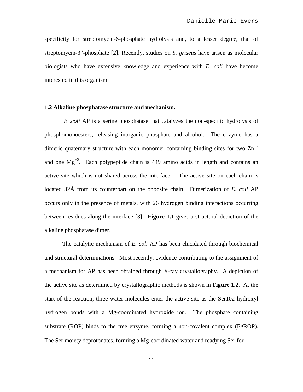specificity for streptomycin-6-phosphate hydrolysis and, to a lesser degree, that of streptomycin-3"-phosphate [2]. Recently, studies on *S. griseus* have arisen as molecular biologists who have extensive knowledge and experience with *E. coli* have become interested in this organism.

#### **1.2 Alkaline phosphatase structure and mechanism.**

*E .coli* AP is a serine phosphatase that catalyzes the non-specific hydrolysis of phosphomonoesters, releasing inorganic phosphate and alcohol. The enzyme has a dimeric quaternary structure with each monomer containing binding sites for two  $\text{Zn}^{2}$ and one  $Mg^{+2}$ . Each polypeptide chain is 449 amino acids in length and contains an active site which is not shared across the interface. The active site on each chain is located 32Å from its counterpart on the opposite chain. Dimerization of *E. coli* AP occurs only in the presence of metals, with 26 hydrogen binding interactions occurring between residues along the interface [3]. **Figure 1.1** gives a structural depiction of the alkaline phosphatase dimer.

The catalytic mechanism of *E. coli* AP has been elucidated through biochemical and structural determinations. Most recently, evidence contributing to the assignment of a mechanism for AP has been obtained through X-ray crystallography. A depiction of the active site as determined by crystallographic methods is shown in **Figure 1.2**. At the start of the reaction, three water molecules enter the active site as the Ser102 hydroxyl hydrogen bonds with a Mg-coordinated hydroxide ion. The phosphate containing substrate (ROP) binds to the free enzyme, forming a non-covalent complex  $(E \cdot ROP)$ . The Ser moiety deprotonates, forming a Mg-coordinated water and readying Ser for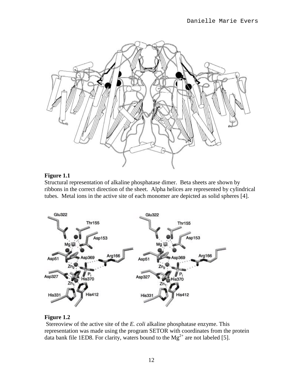

#### **Figure 1.1**

Structural representation of alkaline phosphatase dimer. Beta sheets are shown by ribbons in the correct direction of the sheet. Alpha helices are represented by cylindrical tubes. Metal ions in the active site of each monomer are depicted as solid spheres [4].



#### **Figure 1.2**

 Stereoview of the active site of the *E. coli* alkaline phosphatase enzyme. This representation was made using the program SETOR with coordinates from the protein data bank file 1ED8. For clarity, waters bound to the  $Mg^{2+}$  are not labeled [5].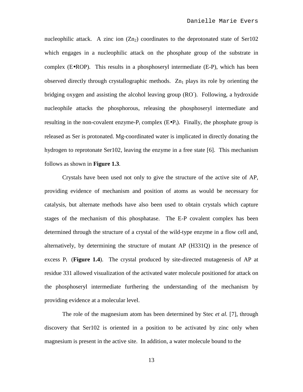nucleophilic attack. A zinc ion  $(Zn<sub>2</sub>)$  coordinates to the deprotonated state of Ser102 which engages in a nucleophilic attack on the phosphate group of the substrate in complex  $(E \cdot ROP)$ . This results in a phosphoseryl intermediate  $(E \cdot P)$ , which has been observed directly through crystallographic methods.  $Zn_1$  plays its role by orienting the bridging oxygen and assisting the alcohol leaving group (RO). Following, a hydroxide nucleophile attacks the phosphorous, releasing the phosphoseryl intermediate and resulting in the non-covalent enzyme- $P_i$  complex  $(E \cdot P_i)$ . Finally, the phosphate group is released as Ser is protonated. Mg-coordinated water is implicated in directly donating the hydrogen to reprotonate Ser102, leaving the enzyme in a free state [6]. This mechanism follows as shown in **Figure 1.3**.

Crystals have been used not only to give the structure of the active site of AP, providing evidence of mechanism and position of atoms as would be necessary for catalysis, but alternate methods have also been used to obtain crystals which capture stages of the mechanism of this phosphatase. The E-P covalent complex has been determined through the structure of a crystal of the wild-type enzyme in a flow cell and, alternatively, by determining the structure of mutant AP (H331Q) in the presence of excess Pi (**Figure 1.4**). The crystal produced by site-directed mutagenesis of AP at residue 331 allowed visualization of the activated water molecule positioned for attack on the phosphoseryl intermediate furthering the understanding of the mechanism by providing evidence at a molecular level.

The role of the magnesium atom has been determined by Stec *et al.* [7], through discovery that Ser102 is oriented in a position to be activated by zinc only when magnesium is present in the active site. In addition, a water molecule bound to the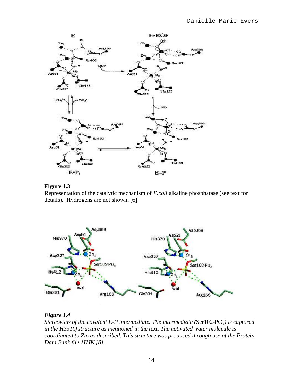

#### **Figure 1.3**

Representation of the catalytic mechanism of *E.coli* alkaline phosphatase (see text for details). Hydrogens are not shown. [6]



#### *Figure 1.4*

*Stereoview of the covalent E-P intermediate. The intermediate (*Ser102-PO3*) is captured in the H331Q structure as mentioned in the text. The activated water molecule is coordinated to Zn1 as described. This structure was produced through use of the Protein Data Bank file 1HJK [8].*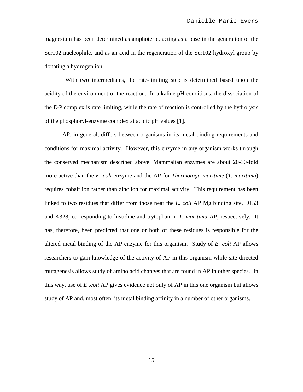magnesium has been determined as amphoteric, acting as a base in the generation of the Ser102 nucleophile, and as an acid in the regeneration of the Ser102 hydroxyl group by donating a hydrogen ion.

 With two intermediates, the rate-limiting step is determined based upon the acidity of the environment of the reaction. In alkaline pH conditions, the dissociation of the E-P complex is rate limiting, while the rate of reaction is controlled by the hydrolysis of the phosphoryl-enzyme complex at acidic pH values [1].

AP, in general, differs between organisms in its metal binding requirements and conditions for maximal activity. However, this enzyme in any organism works through the conserved mechanism described above. Mammalian enzymes are about 20-30-fold more active than the *E. coli* enzyme and the AP for *Thermotoga maritime* (*T. maritima*) requires cobalt ion rather than zinc ion for maximal activity. This requirement has been linked to two residues that differ from those near the *E. coli* AP Mg binding site, D153 and K328, corresponding to histidine and trytophan in *T. maritima* AP, respectively. It has, therefore, been predicted that one or both of these residues is responsible for the altered metal binding of the AP enzyme for this organism. Study of *E. coli* AP allows researchers to gain knowledge of the activity of AP in this organism while site-directed mutagenesis allows study of amino acid changes that are found in AP in other species. In this way, use of *E .coli* AP gives evidence not only of AP in this one organism but allows study of AP and, most often, its metal binding affinity in a number of other organisms.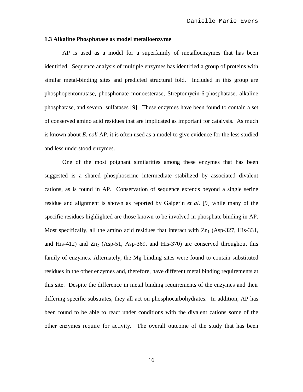#### **1.3 Alkaline Phosphatase as model metalloenzyme**

AP is used as a model for a superfamily of metalloenzymes that has been identified. Sequence analysis of multiple enzymes has identified a group of proteins with similar metal-binding sites and predicted structural fold. Included in this group are phosphopentomutase, phosphonate monoesterase, Streptomycin-6-phosphatase, alkaline phosphatase, and several sulfatases [9]. These enzymes have been found to contain a set of conserved amino acid residues that are implicated as important for catalysis. As much is known about *E. coli* AP, it is often used as a model to give evidence for the less studied and less understood enzymes.

One of the most poignant similarities among these enzymes that has been suggested is a shared phosphoserine intermediate stabilized by associated divalent cations, as is found in AP. Conservation of sequence extends beyond a single serine residue and alignment is shown as reported by Galperin *et al.* [9] while many of the specific residues highlighted are those known to be involved in phosphate binding in AP. Most specifically, all the amino acid residues that interact with  $Zn_1$  (Asp-327, His-331, and His-412) and  $Zn_2$  (Asp-51, Asp-369, and His-370) are conserved throughout this family of enzymes. Alternately, the Mg binding sites were found to contain substituted residues in the other enzymes and, therefore, have different metal binding requirements at this site. Despite the difference in metal binding requirements of the enzymes and their differing specific substrates, they all act on phosphocarbohydrates. In addition, AP has been found to be able to react under conditions with the divalent cations some of the other enzymes require for activity. The overall outcome of the study that has been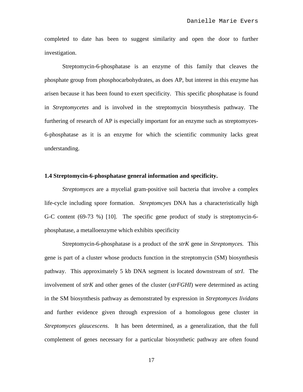completed to date has been to suggest similarity and open the door to further investigation.

Streptomycin-6-phosphatase is an enzyme of this family that cleaves the phosphate group from phosphocarbohydrates, as does AP, but interest in this enzyme has arisen because it has been found to exert specificity. This specific phosphatase is found in *Streptomycetes* and is involved in the streptomycin biosynthesis pathway. The furthering of research of AP is especially important for an enzyme such as streptomyces-6-phosphatase as it is an enzyme for which the scientific community lacks great understanding.

#### **1.4 Streptomycin-6-phosphatase general information and specificity.**

*Streptomyces* are a mycelial gram-positive soil bacteria that involve a complex life-cycle including spore formation. *Streptomcyes* DNA has a characteristically high G-C content (69-73 %) [10]. The specific gene product of study is streptomycin-6 phosphatase, a metalloenzyme which exhibits specificity

Streptomycin-6-phosphatase is a product of the *strK* gene in *Streptomyces.* This gene is part of a cluster whose products function in the streptomycin (SM) biosynthesis pathway. This approximately 5 kb DNA segment is located downstream of *strI*. The involvement of *strK* and other genes of the cluster (*strFGHI*) were determined as acting in the SM biosynthesis pathway as demonstrated by expression in *Streptomyces lividans* and further evidence given through expression of a homologous gene cluster in *Streptomyces glaucescens*. It has been determined, as a generalization, that the full complement of genes necessary for a particular biosynthetic pathway are often found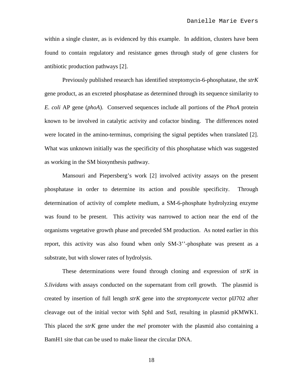within a single cluster, as is evidenced by this example. In addition, clusters have been found to contain regulatory and resistance genes through study of gene clusters for antibiotic production pathways [2].

Previously published research has identified streptomycin-6-phosphatase, the *strK* gene product, as an excreted phosphatase as determined through its sequence similarity to *E. coli* AP gene (*phoA*). Conserved sequences include all portions of the *PhoA* protein known to be involved in catalytic activity and cofactor binding. The differences noted were located in the amino-terminus, comprising the signal peptides when translated [2]. What was unknown initially was the specificity of this phosphatase which was suggested as working in the SM biosynthesis pathway.

Mansouri and Piepersberg's work [2] involved activity assays on the present phosphatase in order to determine its action and possible specificity. Through determination of activity of complete medium, a SM-6-phosphate hydrolyzing enzyme was found to be present. This activity was narrowed to action near the end of the organisms vegetative growth phase and preceded SM production. As noted earlier in this report, this activity was also found when only SM-3''-phosphate was present as a substrate, but with slower rates of hydrolysis.

These determinations were found through cloning and expression of *strK* in *S.lividans* with assays conducted on the supernatant from cell growth. The plasmid is created by insertion of full length *strK* gene into the *streptomycete* vector pIJ702 after cleavage out of the initial vector with SphI and SstI, resulting in plasmid pKMWK1. This placed the *strK* gene under the *mel* promoter with the plasmid also containing a BamH1 site that can be used to make linear the circular DNA.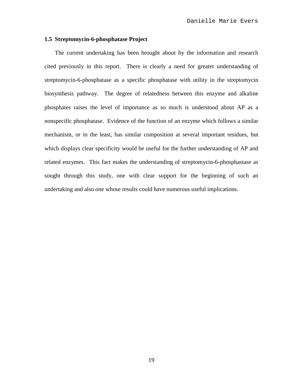#### **1.5 Streptomycin-6-phosphatase Project**

The current undertaking has been brought about by the information and research cited previously in this report. There is clearly a need for greater understanding of streptomycin-6-phosphatase as a specific phosphatase with utility in the streptomycin biosynthesis pathway. The degree of relatedness between this enzyme and alkaline phosphates raises the level of importance as so much is understood about AP as a nonspecific phosphatase. Evidence of the function of an enzyme which follows a similar mechanism, or in the least, has similar composition at several important residues, but which displays clear specificity would be useful for the further understanding of AP and related enzymes. This fact makes the understanding of streptomycin-6-phosphastase as sought through this study, one with clear support for the beginning of such an undertaking and also one whose results could have numerous useful implications.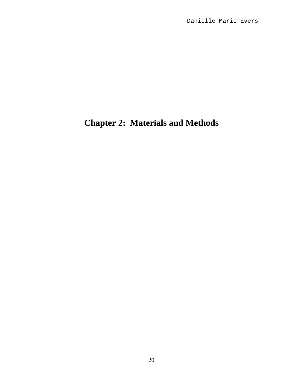## **Chapter 2: Materials and Methods**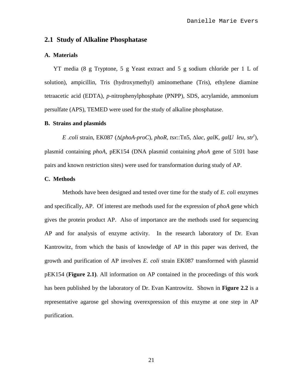#### **2.1 Study of Alkaline Phosphatase**

#### **A. Materials**

YT media (8 g Tryptone, 5 g Yeast extract and 5 g sodium chloride per 1 L of solution), ampicillin, Tris (hydroxymethyl) aminomethane (Tris), ethylene diamine tetraacetic acid (EDTA), *p*-nitrophenylphosphate (PNPP), SDS, acrylamide, ammonium persulfate (APS), TEMED were used for the study of alkaline phosphatase.

#### **B. Strains and plasmids**

 $E$ .coli strain, EK087 ( $\Delta(phoA-proC)$ ,  $phoR$ ,  $tsx::Tn5$ ,  $\Delta$ lac,  $galK$ ,  $galU$  *leu*,  $str<sup>r</sup>$ ), plasmid containing *phoA*, pEK154 (DNA plasmid containing *phoA* gene of 5101 base pairs and known restriction sites) were used for transformation during study of AP.

#### **C. Methods**

Methods have been designed and tested over time for the study of *E. coli* enzymes and specifically, AP. Of interest are methods used for the expression of *phoA* gene which gives the protein product AP. Also of importance are the methods used for sequencing AP and for analysis of enzyme activity. In the research laboratory of Dr. Evan Kantrowitz, from which the basis of knowledge of AP in this paper was derived, the growth and purification of AP involves *E. coli* strain EK087 transformed with plasmid pEK154 (**Figure 2.1)**. All information on AP contained in the proceedings of this work has been published by the laboratory of Dr. Evan Kantrowitz. Shown in **Figure 2.2** is a representative agarose gel showing overexpression of this enzyme at one step in AP purification.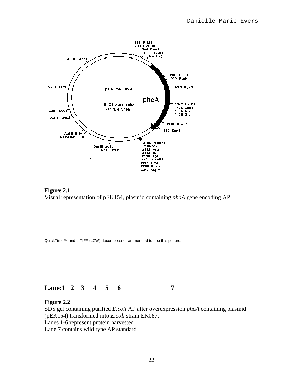



QuickTime™ and a TIFF (LZW) decompressor are needed to see this picture.



#### **Figure 2.2**

SDS gel containing purified *E.coli* AP after overexpression *phoA* containing plasmid (pEK154) transformed into *E.coli* strain EK087. Lanes 1-6 represent protein harvested Lane 7 contains wild type AP standard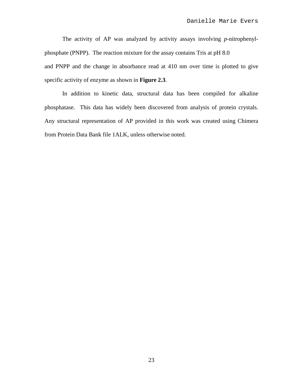The activity of AP was analyzed by activity assays involving *p*-nitrophenylphosphate (PNPP). The reaction mixture for the assay contains Tris at pH 8.0 and PNPP and the change in absorbance read at 410 nm over time is plotted to give specific activity of enzyme as shown in **Figure 2.3**.

In addition to kinetic data, structural data has been compiled for alkaline phosphatase. This data has widely been discovered from analysis of protein crystals. Any structural representation of AP provided in this work was created using Chimera from Protein Data Bank file 1ALK, unless otherwise noted.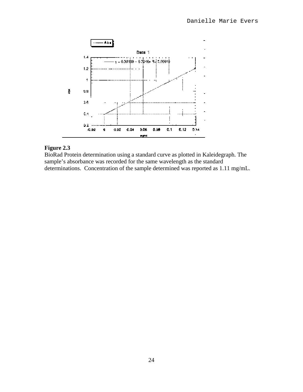

#### **Figure 2.3**

BioRad Protein determination using a standard curve as plotted in Kaleidegraph. The sample's absorbance was recorded for the same wavelength as the standard determinations. Concentration of the sample determined was reported as 1.11 mg/mL.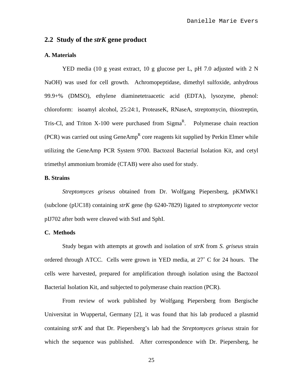### **2.2 Study of the** *strK* **gene product**

#### **A. Materials**

YED media (10 g yeast extract, 10 g glucose per L, pH 7.0 adjusted with 2 N NaOH) was used for cell growth. Achromopeptidase, dimethyl sulfoxide, anhydrous 99.9+% (DMSO), ethylene diaminetetraacetic acid (EDTA), lysozyme, phenol: chloroform: isoamyl alcohol, 25:24:1, ProteaseK, RNaseA, streptomycin, thiostreptin, Tris-Cl, and Triton X-100 were purchased from  $Sigma<sup>R</sup>$ . Polymerase chain reaction (PCR) was carried out using GeneAmp<sup>R</sup> core reagents kit supplied by Perkin Elmer while utilizing the GeneAmp PCR System 9700. Bactozol Bacterial Isolation Kit, and cetyl trimethyl ammonium bromide (CTAB) were also used for study.

#### **B. Strains**

*Streptomyces griseus* obtained from Dr. Wolfgang Piepersberg, pKMWK1 (subclone (pUC18) containing *strK* gene (bp 6240-7829) ligated to *streptomycete* vector pIJ702 after both were cleaved with SstI and SphI.

#### **C. Methods**

Study began with attempts at growth and isolation of *strK* from *S. griseus* strain ordered through ATCC. Cells were grown in YED media, at 27˚ C for 24 hours. The cells were harvested, prepared for amplification through isolation using the Bactozol Bacterial Isolation Kit, and subjected to polymerase chain reaction (PCR).

From review of work published by Wolfgang Piepersberg from Bergische Universitat in Wuppertal, Germany [2], it was found that his lab produced a plasmid containing *strK* and that Dr. Piepersberg's lab had the *Streptomyces griseus* strain for which the sequence was published. After correspondence with Dr. Piepersberg, he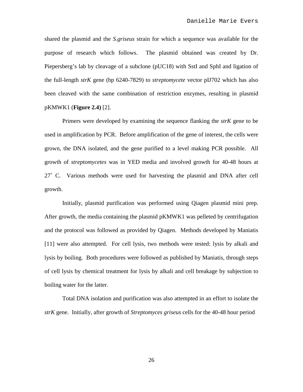shared the plasmid and the *S.griseus* strain for which a sequence was available for the purpose of research which follows. The plasmid obtained was created by Dr. Piepersberg's lab by cleavage of a subclone (pUC18) with SstI and SphI and ligation of the full-length *strK* gene (bp 6240-7829) to *streptomycete* vector pIJ702 which has also been cleaved with the same combination of restriction enzymes, resulting in plasmid pKMWK1 (**Figure 2.4)** [2].

Primers were developed by examining the sequence flanking the *strK* gene to be used in amplification by PCR. Before amplification of the gene of interest, the cells were grown, the DNA isolated, and the gene purified to a level making PCR possible. All growth of *streptomycetes* was in YED media and involved growth for 40-48 hours at 27˚ C. Various methods were used for harvesting the plasmid and DNA after cell growth.

Initially, plasmid purification was performed using Qiagen plasmid mini prep. After growth, the media containing the plasmid pKMWK1 was pelleted by centrifugation and the protocol was followed as provided by Qiagen. Methods developed by Maniatis [11] were also attempted. For cell lysis, two methods were tested: lysis by alkali and lysis by boiling. Both procedures were followed as published by Maniatis, through steps of cell lysis by chemical treatment for lysis by alkali and cell breakage by subjection to boiling water for the latter.

Total DNA isolation and purification was also attempted in an effort to isolate the *strK* gene. Initially, after growth of *Streptomyces griseus* cells for the 40-48 hour period

26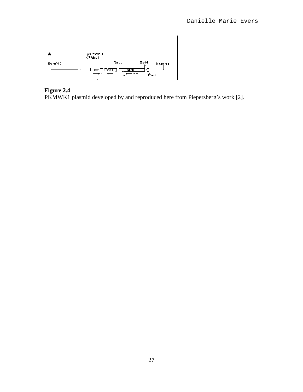

#### **Figure 2.4**

PKMWK1 plasmid developed by and reproduced here from Piepersberg's work [2].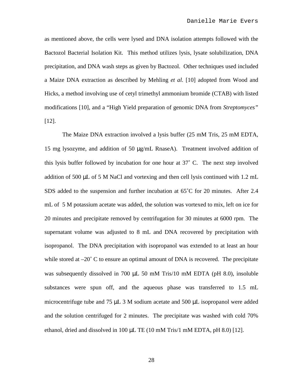as mentioned above, the cells were lysed and DNA isolation attempts followed with the Bactozol Bacterial Isolation Kit. This method utilizes lysis, lysate solubilization, DNA precipitation, and DNA wash steps as given by Bactozol. Other techniques used included a Maize DNA extraction as described by Mehling *et al.* [10] adopted from Wood and Hicks, a method involving use of cetyl trimethyl ammonium bromide (CTAB) with listed modifications [10], and a "High Yield preparation of genomic DNA from *Streptomyces"* [12].

The Maize DNA extraction involved a lysis buffer (25 mM Tris, 25 mM EDTA, 15 mg lysozyme, and addition of 50 µg/mL RnaseA). Treatment involved addition of this lysis buffer followed by incubation for one hour at 37˚ C. The next step involved addition of 500 µL of 5 M NaCl and vortexing and then cell lysis continued with 1.2 mL SDS added to the suspension and further incubation at  $65^{\circ}$ C for 20 minutes. After 2.4 mL of 5 M potassium acetate was added, the solution was vortexed to mix, left on ice for 20 minutes and precipitate removed by centrifugation for 30 minutes at 6000 rpm. The supernatant volume was adjusted to 8 mL and DNA recovered by precipitation with isopropanol. The DNA precipitation with isopropanol was extended to at least an hour while stored at  $-20^{\circ}$  C to ensure an optimal amount of DNA is recovered. The precipitate was subsequently dissolved in 700 µL 50 mM Tris/10 mM EDTA (pH 8.0), insoluble substances were spun off, and the aqueous phase was transferred to 1.5 mL microcentrifuge tube and 75 µL 3 M sodium acetate and 500 µL isopropanol were added and the solution centrifuged for 2 minutes. The precipitate was washed with cold 70% ethanol, dried and dissolved in 100 µL TE (10 mM Tris/1 mM EDTA, pH 8.0) [12].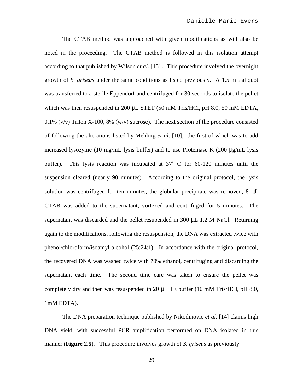The CTAB method was approached with given modifications as will also be noted in the proceeding. The CTAB method is followed in this isolation attempt according to that published by Wilson *et al.* [15] *.* This procedure involved the overnight growth of *S. griseus* under the same conditions as listed previously. A 1.5 mL aliquot was transferred to a sterile Eppendorf and centrifuged for 30 seconds to isolate the pellet which was then resuspended in 200 µL STET (50 mM Tris/HCl, pH 8.0, 50 mM EDTA, 0.1% (v/v) Triton X-100, 8% (w/v) sucrose). The next section of the procedure consisted of following the alterations listed by Mehling *et al*. [10]*,* the first of which was to add increased lysozyme (10 mg/mL lysis buffer) and to use Proteinase K (200  $\mu$ g/mL lysis buffer). This lysis reaction was incubated at 37˚ C for 60-120 minutes until the suspension cleared (nearly 90 minutes). According to the original protocol, the lysis solution was centrifuged for ten minutes, the globular precipitate was removed,  $8 \mu L$ CTAB was added to the supernatant, vortexed and centrifuged for 5 minutes. The supernatant was discarded and the pellet resupended in 300 µL 1.2 M NaCl. Returning again to the modifications, following the resuspension, the DNA was extracted twice with phenol/chloroform/isoamyl alcohol (25:24:1). In accordance with the original protocol, the recovered DNA was washed twice with 70% ethanol, centrifuging and discarding the supernatant each time. The second time care was taken to ensure the pellet was completely dry and then was resuspended in 20  $\mu$ L TE buffer (10 mM Tris/HCl, pH 8.0, 1mM EDTA).

The DNA preparation technique published by Nikodinovic *et al.* [14] claims high DNA yield, with successful PCR amplification performed on DNA isolated in this manner (**Figure 2.5**). This procedure involves growth of *S. griseus* as previously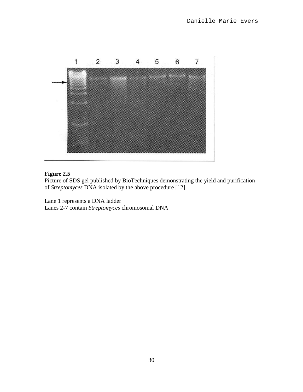

#### **Figure 2.5**

Picture of SDS gel published by BioTechniques demonstrating the yield and purification of *Streptomyces* DNA isolated by the above procedure [12].

Lane 1 represents a DNA ladder

Lanes 2-7 contain *Streptomyces* chromosomal DNA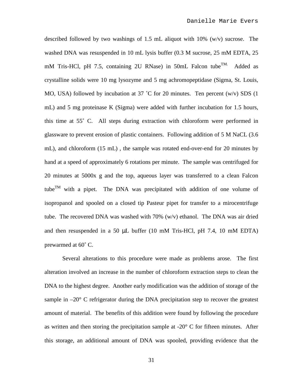described followed by two washings of 1.5 mL aliquot with  $10\%$  (w/v) sucrose. The washed DNA was resuspended in 10 mL lysis buffer (0.3 M sucrose, 25 mM EDTA, 25 mM Tris-HCl, pH 7.5, containing 2U RNase) in 50mL Falcon tube<sup>TM.</sup> Added as crystalline solids were 10 mg lysozyme and 5 mg achromopeptidase (Sigma, St. Louis, MO, USA) followed by incubation at 37  $^{\circ}$ C for 20 minutes. Ten percent (w/v) SDS (1 mL) and 5 mg proteinase K (Sigma) were added with further incubation for 1.5 hours, this time at 55˚ C. All steps during extraction with chloroform were performed in glassware to prevent erosion of plastic containers. Following addition of 5 M NaCL (3.6 mL), and chloroform (15 mL) , the sample was rotated end-over-end for 20 minutes by hand at a speed of approximately 6 rotations per minute. The sample was centrifuged for 20 minutes at 5000x g and the top, aqueous layer was transferred to a clean Falcon tube<sup>TM</sup> with a pipet. The DNA was precipitated with addition of one volume of isopropanol and spooled on a closed tip Pasteur pipet for transfer to a mirocentrifuge tube. The recovered DNA was washed with 70% (w/v) ethanol. The DNA was air dried and then resuspended in a 50  $\mu$ L buffer (10 mM Tris-HCl, pH 7.4, 10 mM EDTA) prewarmed at 60˚ C.

Several alterations to this procedure were made as problems arose. The first alteration involved an increase in the number of chloroform extraction steps to clean the DNA to the highest degree. Another early modification was the addition of storage of the sample in  $-20^{\circ}$  C refrigerator during the DNA precipitation step to recover the greatest amount of material. The benefits of this addition were found by following the procedure as written and then storing the precipitation sample at  $-20^{\circ}$  C for fifteen minutes. After this storage, an additional amount of DNA was spooled, providing evidence that the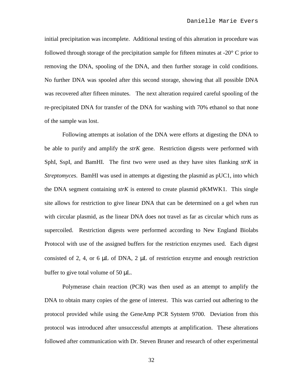initial precipitation was incomplete. Additional testing of this alteration in procedure was followed through storage of the precipitation sample for fifteen minutes at -20° C prior to removing the DNA, spooling of the DNA, and then further storage in cold conditions. No further DNA was spooled after this second storage, showing that all possible DNA was recovered after fifteen minutes. The next alteration required careful spooling of the re-precipitated DNA for transfer of the DNA for washing with 70% ethanol so that none of the sample was lost.

Following attempts at isolation of the DNA were efforts at digesting the DNA to be able to purify and amplify the *strK* gene. Restriction digests were performed with SphI, SspI, and BamHI. The first two were used as they have sites flanking *strK* in *Streptomyces*. BamHI was used in attempts at digesting the plasmid as pUC1, into which the DNA segment containing *strK* is entered to create plasmid pKMWK1. This single site allows for restriction to give linear DNA that can be determined on a gel when run with circular plasmid, as the linear DNA does not travel as far as circular which runs as supercoiled. Restriction digests were performed according to New England Biolabs Protocol with use of the assigned buffers for the restriction enzymes used. Each digest consisted of 2, 4, or 6  $\mu$ L of DNA, 2  $\mu$ L of restriction enzyme and enough restriction buffer to give total volume of 50 µL.

Polymerase chain reaction (PCR) was then used as an attempt to amplify the DNA to obtain many copies of the gene of interest. This was carried out adhering to the protocol provided while using the GeneAmp PCR Sytstem 9700. Deviation from this protocol was introduced after unsuccessful attempts at amplification. These alterations followed after communication with Dr. Steven Bruner and research of other experimental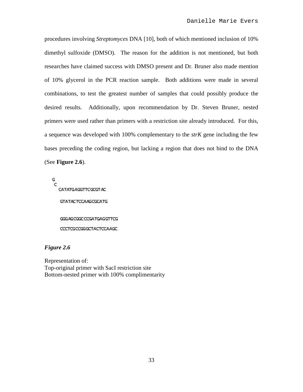procedures involving *Streptomyces* DNA [10], both of which mentioned inclusion of 10% dimethyl sulfoxide (DMSO). The reason for the addition is not mentioned, but both researches have claimed success with DMSO present and Dr. Bruner also made mention of 10% glycerol in the PCR reaction sample. Both additions were made in several combinations, to test the greatest number of samples that could possibly produce the desired results. Additionally, upon recommendation by Dr. Steven Bruner, nested primers were used rather than primers with a restriction site already introduced. For this, a sequence was developed with 100% complementary to the *strK* gene including the few bases preceding the coding region, but lacking a region that does not bind to the DNA (See **Figure 2.6**).

Ġ C CATATGAGGTTCGCGTAC GTATACTCCAAGCGCATG GGGAGCGGCCCGATGAGGTTCG COLTOGODGGGTACTOLAAGC

#### *Figure 2.6*

Representation of: Top-original primer with SacI restriction site Bottom-nested primer with 100% complimentarity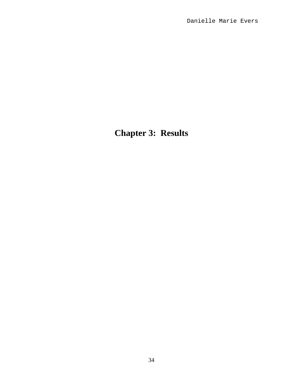**Chapter 3: Results**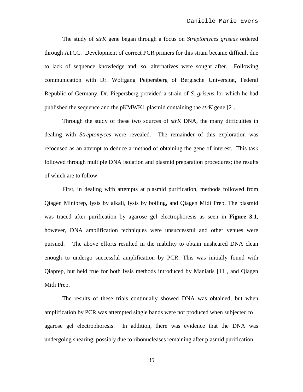The study of *strK* gene began through a focus on *Streptomyces griseus* ordered through ATCC. Development of correct PCR primers for this strain became difficult due to lack of sequence knowledge and, so, alternatives were sought after. Following communication with Dr. Wolfgang Peipersberg of Bergische Universitat, Federal Republic of Germany, Dr. Piepersberg provided a strain of *S. griseus* for which he had published the sequence and the pKMWK1 plasmid containing the *strK* gene [2].

Through the study of these two sources of *strK* DNA, the many difficulties in dealing with *Streptomyces* were revealed. The remainder of this exploration was refocused as an attempt to deduce a method of obtaining the gene of interest. This task followed through multiple DNA isolation and plasmid preparation procedures; the results of which are to follow.

First, in dealing with attempts at plasmid purification, methods followed from Qiagen Miniprep, lysis by alkali, lysis by boiling, and Qiagen Midi Prep. The plasmid was traced after purification by agarose gel electrophoresis as seen in **Figure 3.1**, however, DNA amplification techniques were unsuccessful and other venues were pursued. The above efforts resulted in the inability to obtain unsheared DNA clean enough to undergo successful amplification by PCR. This was initially found with Qiaprep, but held true for both lysis methods introduced by Maniatis [11], and Qiagen Midi Prep.

The results of these trials continually showed DNA was obtained, but when amplification by PCR was attempted single bands were not produced when subjected to agarose gel electrophoresis. In addition, there was evidence that the DNA was undergoing shearing, possibly due to ribonucleases remaining after plasmid purification.

35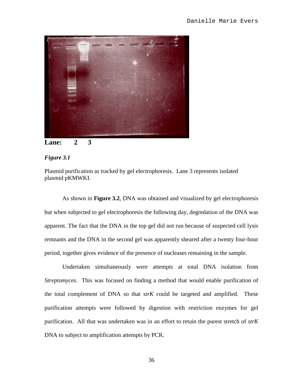



#### *Figure 3.1*

Plasmid purification as tracked by gel electrophoresis. Lane 3 represents isolated plasmid pKMWKI.

As shown in **Figure 3.2**, DNA was obtained and visualized by gel electrophoresis but when subjected to gel electrophoresis the following day, degredation of the DNA was apparent. The fact that the DNA in the top gel did not run because of suspected cell lysis remnants and the DNA in the second gel was apparently sheared after a twenty four-hour period, together gives evidence of the presence of nucleases remaining in the sample.

Undertaken simultaneously were attempts at total DNA isolation from *Streptomyces*. This was focused on finding a method that would enable purification of the total complement of DNA so that *strK* could be targeted and amplified. These purification attempts were followed by digestion with restriction enzymes for gel purification. All that was undertaken was in an effort to retain the purest stretch of *strK*  DNA to subject to amplification attempts by PCR.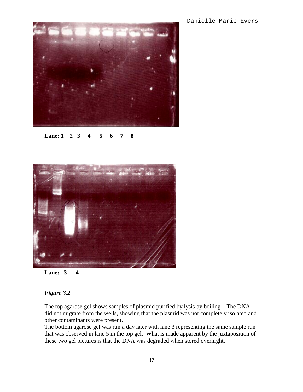

**Lane: 1 2 3 4 5 6 7 8**



**Lane: 3 4**

#### *Figure 3.2*

The top agarose gel shows samples of plasmid purified by lysis by boiling . The DNA did not migrate from the wells, showing that the plasmid was not completely isolated and other contaminants were present.

The bottom agarose gel was run a day later with lane 3 representing the same sample run that was observed in lane 5 in the top gel. What is made apparent by the juxtaposition of these two gel pictures is that the DNA was degraded when stored overnight.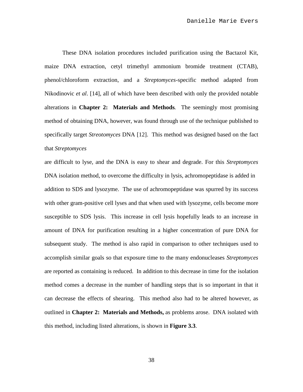These DNA isolation procedures included purification using the Bactazol Kit, maize DNA extraction, cetyl trimethyl ammonium bromide treatment (CTAB), phenol/chloroform extraction, and a *Streptomyces*-specific method adapted from Nikodinovic *et al*. [14], all of which have been described with only the provided notable alterations in **Chapter 2: Materials and Methods**. The seemingly most promising method of obtaining DNA, however, was found through use of the technique published to specifically target *Streotomyces* DNA [12]. This method was designed based on the fact that *Streptomyces*

are difficult to lyse, and the DNA is easy to shear and degrade. For this *Streptomyces* DNA isolation method, to overcome the difficulty in lysis, achromopeptidase is added in addition to SDS and lysozyme. The use of achromopeptidase was spurred by its success with other gram-positive cell lyses and that when used with lysozyme, cells become more susceptible to SDS lysis. This increase in cell lysis hopefully leads to an increase in amount of DNA for purification resulting in a higher concentration of pure DNA for subsequent study. The method is also rapid in comparison to other techniques used to accomplish similar goals so that exposure time to the many endonucleases *Streptomyces* are reported as containing is reduced. In addition to this decrease in time for the isolation method comes a decrease in the number of handling steps that is so important in that it can decrease the effects of shearing. This method also had to be altered however, as outlined in **Chapter 2: Materials and Methods,** as problems arose. DNA isolated with this method, including listed alterations, is shown in **Figure 3.3**.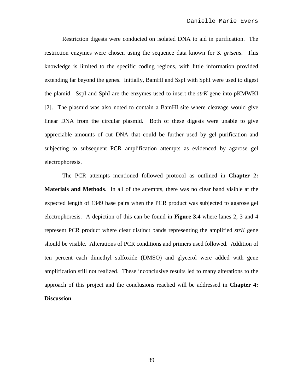Restriction digests were conducted on isolated DNA to aid in purification. The restriction enzymes were chosen using the sequence data known for *S. griseus*. This knowledge is limited to the specific coding regions, with little information provided extending far beyond the genes. Initially, BamHI and SspI with SphI were used to digest the plamid. SspI and SphI are the enzymes used to insert the *strK* gene into pKMWKI [2]. The plasmid was also noted to contain a BamHI site where cleavage would give linear DNA from the circular plasmid. Both of these digests were unable to give appreciable amounts of cut DNA that could be further used by gel purification and subjecting to subsequent PCR amplification attempts as evidenced by agarose gel electrophoresis.

The PCR attempts mentioned followed protocol as outlined in **Chapter 2: Materials and Methods**. In all of the attempts, there was no clear band visible at the expected length of 1349 base pairs when the PCR product was subjected to agarose gel electrophoresis. A depiction of this can be found in **Figure 3.4** where lanes 2, 3 and 4 represent PCR product where clear distinct bands representing the amplified *strK* gene should be visible. Alterations of PCR conditions and primers used followed. Addition of ten percent each dimethyl sulfoxide (DMSO) and glycerol were added with gene amplification still not realized. These inconclusive results led to many alterations to the approach of this project and the conclusions reached will be addressed in **Chapter 4: Discussion**.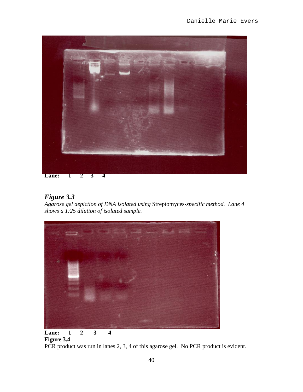

### *Figure 3.3*

*Agarose gel depiction of DNA isolated using* Streptomyces*-specific method. Lane 4 shows a 1:25 dilution of isolated sample.*



## **Figure 3.4**

PCR product was run in lanes 2, 3, 4 of this agarose gel. No PCR product is evident.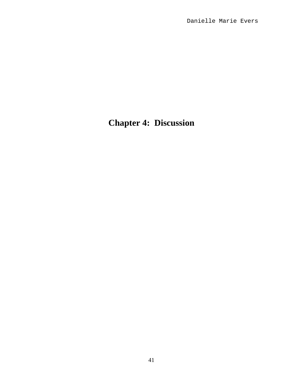## **Chapter 4: Discussion**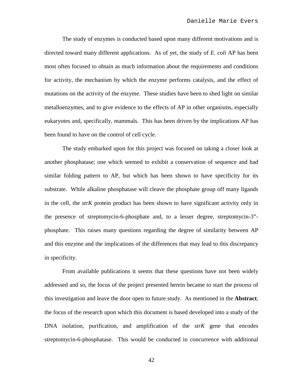The study of enzymes is conducted based upon many different motivations and is directed toward many different applications. As of yet, the study of *E. coli* AP has been most often focused to obtain as much information about the requirements and conditions for activity, the mechanism by which the enzyme performs catalysis, and the effect of mutations on the activity of the enzyme. These studies have been to shed light on similar metalloenzymes, and to give evidence to the effects of AP in other organisms, especially eukaryotes and, specifically, mammals. This has been driven by the implications AP has been found to have on the control of cell cycle.

The study embarked upon for this project was focused on taking a closer look at another phosphatase; one which seemed to exhibit a conservation of sequence and had similar folding pattern to AP, but which has been shown to have specificity for its substrate. While alkaline phosphatase will cleave the phosphate group off many ligands in the cell, the *strK* protein product has been shown to have significant activity only in the presence of streptomycin-6-phosphate and, to a lesser degree, streptomycin-3" phosphate. This raises many questions regarding the degree of similarity between AP and this enzyme and the implications of the differences that may lead to this discrepancy in specificity.

From available publications it seems that these questions have not been widely addressed and so, the focus of the project presented herein became to start the process of this investigation and leave the door open to future study. As mentioned in the **Abstract**, the focus of the research upon which this document is based developed into a study of the DNA isolation, purification, and amplification of the *strK* gene that encodes streptomycin-6-phosphatase. This would be conducted in concurrence with additional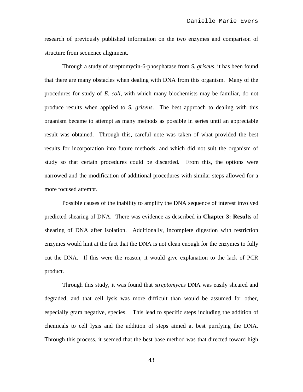research of previously published information on the two enzymes and comparison of structure from sequence alignment.

Through a study of streptomycin-6-phosphatase from *S. griseus*, it has been found that there are many obstacles when dealing with DNA from this organism. Many of the procedures for study of *E. coli*, with which many biochemists may be familiar, do not produce results when applied to *S. griseus*. The best approach to dealing with this organism became to attempt as many methods as possible in series until an appreciable result was obtained. Through this, careful note was taken of what provided the best results for incorporation into future methods, and which did not suit the organism of study so that certain procedures could be discarded. From this, the options were narrowed and the modification of additional procedures with similar steps allowed for a more focused attempt.

Possible causes of the inability to amplify the DNA sequence of interest involved predicted shearing of DNA. There was evidence as described in **Chapter 3: Results** of shearing of DNA after isolation. Additionally, incomplete digestion with restriction enzymes would hint at the fact that the DNA is not clean enough for the enzymes to fully cut the DNA. If this were the reason, it would give explanation to the lack of PCR product.

Through this study, it was found that *streptomyces* DNA was easily sheared and degraded, and that cell lysis was more difficult than would be assumed for other, especially gram negative, species. This lead to specific steps including the addition of chemicals to cell lysis and the addition of steps aimed at best purifying the DNA. Through this process, it seemed that the best base method was that directed toward high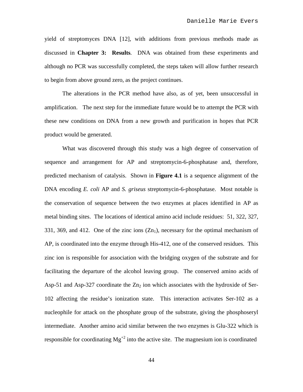yield of streptomyces DNA [12], with additions from previous methods made as discussed in **Chapter 3: Results**. DNA was obtained from these experiments and although no PCR was successfully completed, the steps taken will allow further research to begin from above ground zero, as the project continues.

The alterations in the PCR method have also, as of yet, been unsuccessful in amplification. The next step for the immediate future would be to attempt the PCR with these new conditions on DNA from a new growth and purification in hopes that PCR product would be generated.

What was discovered through this study was a high degree of conservation of sequence and arrangement for AP and streptomycin-6-phosphatase and, therefore, predicted mechanism of catalysis. Shown in **Figure 4.1** is a sequence alignment of the DNA encoding *E. coli* AP and *S. griseus* streptomycin-6-phosphatase. Most notable is the conservation of sequence between the two enzymes at places identified in AP as metal binding sites. The locations of identical amino acid include residues: 51, 322, 327, 331, 369, and 412. One of the zinc ions  $(Zn_1)$ , necessary for the optimal mechanism of AP, is coordinated into the enzyme through His-412, one of the conserved residues. This zinc ion is responsible for association with the bridging oxygen of the substrate and for facilitating the departure of the alcohol leaving group. The conserved amino acids of Asp-51 and Asp-327 coordinate the  $Zn_2$  ion which associates with the hydroxide of Ser-102 affecting the residue's ionization state. This interaction activates Ser-102 as a nucleophile for attack on the phosphate group of the substrate, giving the phosphoseryl intermediate. Another amino acid similar between the two enzymes is Glu-322 which is responsible for coordinating  $Mg^{2}$  into the active site. The magnesium ion is coordinated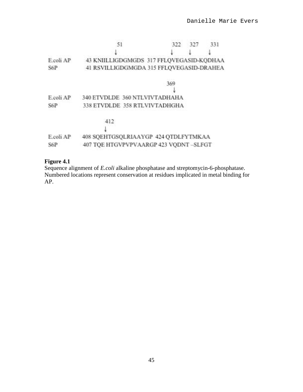|           | 51                                       | 322 | 327 | 331 |
|-----------|------------------------------------------|-----|-----|-----|
|           |                                          |     |     |     |
| E.coli AP | 43 KNIILLIGDGMGDS 317 FFLQVEGASID-KQDHAA |     |     |     |
| S6P       | 41 RSVILLIGDGMGDA 315 FFLQVEGASID-DRAHEA |     |     |     |
|           |                                          | 369 |     |     |
|           |                                          |     |     |     |
| E.coli AP | 340 ETVDLDE 360 NTLVIVTADHAHA            |     |     |     |
| S6P       | 338 ETVDLDE 358 RTLVIVTADHGHA            |     |     |     |
|           | 412                                      |     |     |     |
|           |                                          |     |     |     |
| E.coli AP | 408 SQEHTGSQLRIAAYGP 424 QTDLFYTMKAA     |     |     |     |
| S6P       | 407 TQE HTGVPVPVAARGP 423 VQDNT-SLFGT    |     |     |     |

#### **Figure 4.1**

Sequence alignment of *E.coli* alkaline phosphatase and streptomycin-6-phosphatase. Numbered locations represent conservation at residues implicated in metal binding for AP.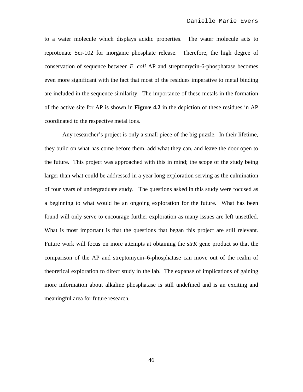to a water molecule which displays acidic properties. The water molecule acts to reprotonate Ser-102 for inorganic phosphate release. Therefore, the high degree of conservation of sequence between *E. coli* AP and streptomycin-6-phosphatase becomes even more significant with the fact that most of the residues imperative to metal binding are included in the sequence similarity. The importance of these metals in the formation of the active site for AP is shown in **Figure 4.2** in the depiction of these residues in AP coordinated to the respective metal ions.

Any researcher's project is only a small piece of the big puzzle. In their lifetime, they build on what has come before them, add what they can, and leave the door open to the future. This project was approached with this in mind; the scope of the study being larger than what could be addressed in a year long exploration serving as the culmination of four years of undergraduate study. The questions asked in this study were focused as a beginning to what would be an ongoing exploration for the future. What has been found will only serve to encourage further exploration as many issues are left unsettled. What is most important is that the questions that began this project are still relevant. Future work will focus on more attempts at obtaining the *strK* gene product so that the comparison of the AP and streptomycin–6-phosphatase can move out of the realm of theoretical exploration to direct study in the lab. The expanse of implications of gaining more information about alkaline phosphatase is still undefined and is an exciting and meaningful area for future research.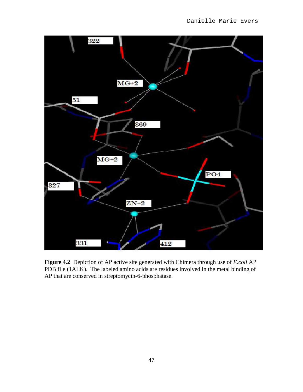

**Figure 4.2** Depiction of AP active site generated with Chimera through use of *E.coli* AP PDB file (1ALK). The labeled amino acids are residues involved in the metal binding of AP that are conserved in streptomycin-6-phosphatase.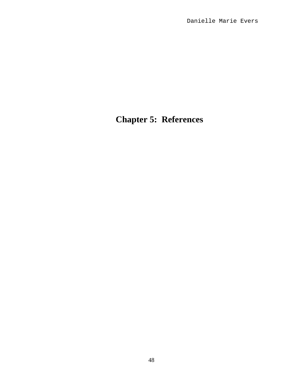## **Chapter 5: References**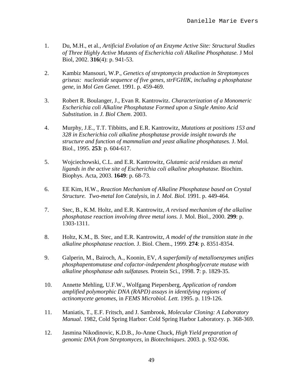- 1. Du, M.H., et al., *Artificial Evolution of an Enzyme Active Site: Structural Studies of Three Highly Active Mutants of Escherichia coli Alkaline Phosphatase.* J Mol Biol, 2002. **316**(4): p. 941-53.
- 2. Kambiz Mansouri, W.P., *Genetics of streptomycin production in Streptomyces griseus: nucleotide sequence of five genes, strFGHIK, including a phosphatase gene*, in *Mol Gen Genet*. 1991. p. 459-469.
- 3. Robert R. Boulanger, J., Evan R. Kantrowitz. *Characterization of a Monomeric Escherichia coli Alkaline Phosphatase Formed upon a Single Amino Acid Substitution*. in *J. Biol Chem*. 2003.
- 4. Murphy, J.E., T.T. Tibbitts, and E.R. Kantrowitz, *Mutations at positions 153 and 328 in Escherichia coli alkaline phosphatase provide insight towards the structure and function of mammalian and yeast alkaline phosphatases.* J. Mol. Biol., 1995. **253**: p. 604-617.
- 5. Wojciechowski, C.L. and E.R. Kantrowitz, *Glutamic acid residues as metal ligands in the active site of Escherichia coli alkaline phosphatase.* Biochim. Biophys. Acta, 2003. **1649**: p. 68-73.
- 6. EE Kim, H.W., *Reaction Mechanism of Alkaline Phosphatase based on Crystal Structure. Two-metal Ion Catalysis*, in *J. Mol. Biol.* 1991. p. 449-464.
- 7. Stec, B., K.M. Holtz, and E.R. Kantrowitz, *A revised mechanism of the alkaline phosphatase reaction involving three metal ions.* J. Mol. Biol., 2000. **299**: p. 1303-1311.
- 8. Holtz, K.M., B. Stec, and E.R. Kantrowitz, *A model of the transition state in the alkaline phosphatase reaction.* J. Biol. Chem., 1999. **274**: p. 8351-8354.
- 9. Galperin, M., Bairoch, A., Koonin, EV, *A superfamily of metalloenzymes unifies phosphapentomutase and cofactor-independent phosphoglycerate mutase with alkaline phosphatase adn sulfatases.* Protein Sci., 1998. **7**: p. 1829-35.
- 10. Annette Mehling, U.F.W., Wolfgang Piepersberg, *Application of random amplified polymorphic DNA (RAPD) assays in identifying regions of actinomycete genomes*, in *FEMS Microbiol. Lett.* 1995. p. 119-126.
- 11. Maniatis, T., E.F. Fritsch, and J. Sambrook, *Molecular Cloning: A Laboratory Manual*. 1982, Cold Spring Harbor: Cold Spring Harbor Laboratory. p. 368-369.
- 12. Jasmina Nikodinovic, K.D.B., Jo-Anne Chuck, *High Yield preparation of genomic DNA from Streptomyces*, in *Biotechniques*. 2003. p. 932-936.